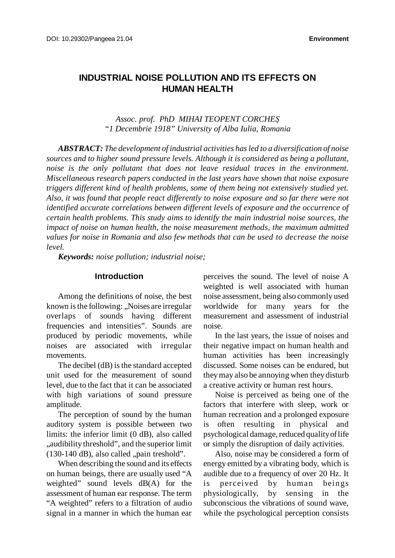# **INDUSTRIAL NOISE POLLUTION AND ITS EFFECTS ON HUMAN HEALTH**

*Assoc. prof. PhD MIHAI TEOPENT CORCHEŞ "1 Decembrie 1918" University of Alba Iulia, Romania*

*ABSTRACT: The development of industrial activities hasled to a diversification of noise sources and to higher sound pressure levels. Although it is considered as being a pollutant, noise is the only pollutant that does not leave residual traces in the environment. Miscellaneous research papers conducted in the last years have shown that noise exposure triggers different kind of health problems, some of them being not extensively studied yet. Also, it was found that people react differently to noise exposure and so far there were not identified accurate correlations between different levels of exposure and the occurrence of certain health problems. This study aims to identify the main industrial noise sources, the impact of noise on human health, the noise measurement methods, the maximum admitted values for noise in Romania and also few methods that can be used to decrease the noise level.*

*Keywords: noise pollution; industrial noise;*

#### **Introduction**

Among the definitions of noise, the best known is the following: "Noises are irregular overlaps of sounds having different frequencies and intensities". Sounds are produced by periodic movements, while noises are associated with irregular movements.

The decibel (dB) is the standard accepted unit used for the measurement of sound level, due to the fact that it can be associated with high variations of sound pressure amplitude.

The perception of sound by the human auditory system is possible between two limits: the inferior limit (0 dB), also called "audibility threshold", and the superior limit  $(130-140 \text{ dB})$ , also called "pain treshold".

When describing the sound and its effects on human beings, there are usually used "A weighted" sound levels dB(A) for the assessment of human ear response. The term "A weighted" refers to a filtration of audio signal in a manner in which the human ear perceives the sound. The level of noise A weighted is well associated with human noise assessment, being also commonly used worldwide for many years for the measurement and assessment of industrial noise.

In the last years, the issue of noises and their negative impact on human health and human activities has been increasingly discussed. Some noises can be endured, but theymay also be annoying when they disturb a creative activity or human rest hours.

Noise is perceived as being one of the factors that interfere with sleep, work or human recreation and a prolonged exposure is often resulting in physical and psychological damage, reduced quality of life or simply the disruption of daily activities.

Also, noise may be considered a form of energy emitted by a vibrating body, which is audible due to a frequency of over 20 Hz. It is perceived by human beings physiologically, by sensing in the subconscious the vibrations of sound wave, while the psychological perception consists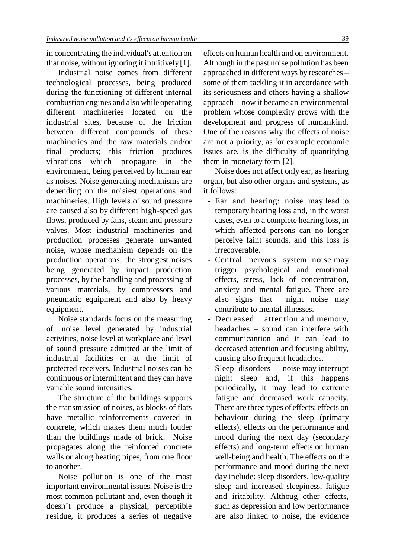in concentrating the individual's attention on that noise, without ignoring it intuitively[1].

Industrial noise comes from different technological processes, being produced during the functioning of different internal combustion engines and alsowhile operating different machineries located on the industrial sites, because of the friction between different compounds of these machineries and the raw materials and/or final products; this friction produces vibrations which propagate in the environment, being perceived by human ear as noises. Noise generating mechanisms are depending on the noisiest operations and machineries. High levels of sound pressure are caused also by different high-speed gas flows, produced by fans, steam and pressure valves. Most industrial machineries and production processes generate unwanted noise, whose mechanism depends on the production operations, the strongest noises being generated by impact production processes, by the handling and processing of various materials, by compressors and pneumatic equipment and also by heavy equipment.

Noise standards focus on the measuring of: noise level generated by industrial activities, noise level at workplace and level of sound pressure admitted at the limit of industrial facilities or at the limit of protected receivers. Industrial noises can be continuous or intermittent and they can have variable sound intensities.

The structure of the buildings supports the transmission of noises, as blocks of flats have metallic reinforcements covered in concrete, which makes them much louder than the buildings made of brick. Noise propagates along the reinforced concrete walls or along heating pipes, from one floor to another.

Noise pollution is one of the most important environmental issues. Noise isthe most common pollutant and, even though it doesn't produce a physical, perceptible residue, it produces a series of negative

effects on human health and on environment. Although in the past noise pollution has been approached in different ways by researches – some of them tackling it in accordance with its seriousness and others having a shallow approach – now it became an environmental problem whose complexity grows with the development and progress of humankind. One of the reasons why the effects of noise are not a priority, as for example economic issues are, is the difficulty of quantifying them in monetary form [2].

Noise does not affect only ear, as hearing organ, but also other organs and systems, as it follows:

- Ear and hearing: noise may lead to temporary hearing loss and, in the worst cases, even to a complete hearing loss, in which affected persons can no longer perceive faint sounds, and this loss is irrecoverable.
- Central nervous system: noise may trigger psychological and emotional effects, stress, lack of concentration, anxiety and mental fatigue. There are also signs that night noise may contribute to mental illnesses.
- Decreased attention and memory, headaches – sound can interfere with communicantion and it can lead to decreased attention and focusing ability, causing also frequent headaches.
- Sleep disorders noise may interrupt night sleep and, if this happens periodically, it may lead to extreme fatigue and decreased work capacity. There are three types of effects: effects on behaviour during the sleep (primary effects), effects on the performance and mood during the next day (secondary effects) and long-term effects on human well-being and health. The effects on the performance and mood during the next day include: sleep disorders, low-quality sleep and increased sleepiness, fatigue and iritability. Althoug other effects, such as depression and low performance are also linked to noise, the evidence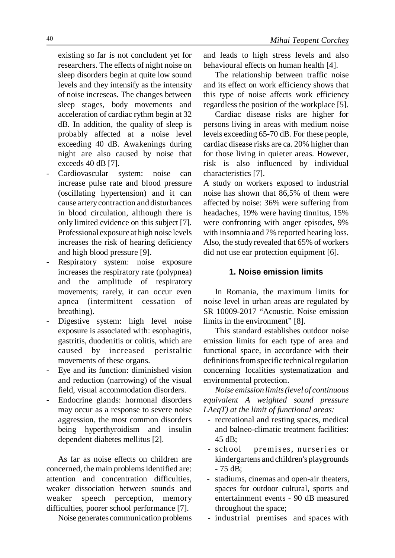existing so far is not concludent yet for researchers. The effects of night noise on sleep disorders begin at quite low sound levels and they intensify as the intensity of noise increseas. The changes between sleep stages, body movements and acceleration of cardiac rythm begin at 32 dB. In addition, the quality of sleep is probably affected at a noise level exceeding 40 dB. Awakenings during night are also caused by noise that exceeds 40 dB [7].

- Cardiovascular system: noise can increase pulse rate and blood pressure (oscillating hypertension) and it can cause arterycontraction and disturbances in blood circulation, although there is only limited evidence on this subject [7]. Professional exposure at high noise levels increases the risk of hearing deficiency and high blood pressure [9].
- Respiratory system: noise exposure increases the respiratory rate (polypnea) and the amplitude of respiratory movements; rarely, it can occur even apnea (intermittent cessation of breathing).
- Digestive system: high level noise exposure is associated with: esophagitis, gastritis, duodenitis or colitis, which are caused by increased peristaltic movements of these organs.
- Eye and its function: diminished vision and reduction (narrowing) of the visual field, visual accommodation disorders.
- Endocrine glands: hormonal disorders may occur as a response to severe noise aggression, the most common disorders being hyperthyroidism and insulin dependent diabetes mellitus [2].

As far as noise effects on children are concerned, the main problems identified are: attention and concentration difficulties, weaker dissociation between sounds and weaker speech perception, memory difficulties, poorer school performance [7].

Noise generates communication problems

and leads to high stress levels and also behavioural effects on human health [4].

The relationship between traffic noise and its effect on work efficiency shows that this type of noise affects work efficiency regardless the position of the workplace [5].

Cardiac disease risks are higher for persons living in areas with medium noise levels exceeding 65-70 dB. For these people, cardiac disease risks are ca. 20% higher than for those living in quieter areas. However, risk is also influenced by individual characteristics [7].

A study on workers exposed to industrial noise has shown that 86,5% of them were affected by noise: 36% were suffering from headaches, 19% were having tinnitus, 15% were confronting with anger episodes, 9% with insomnia and 7% reported hearing loss. Also, the study revealed that 65% of workers did not use ear protection equipment [6].

### **1. Noise emission limits**

In Romania, the maximum limits for noise level in urban areas are regulated by SR 10009-2017 "Acoustic. Noise emission limits in the environment" [8].

This standard establishes outdoor noise emission limits for each type of area and functional space, in accordance with their definitions from specific technical regulation concerning localities systematization and environmental protection.

*Noise emission limits(level of continuous equivalent A weighted sound pressure LAeqT) at the limit of functional areas:*

- recreational and resting spaces, medical and balneo-climatic treatment facilities:  $45 \text{ dB}$
- school premises, nurseries or kindergartens and children's playgrounds - 75 dB;
- stadiums, cinemas and open-air theaters, spaces for outdoor cultural, sports and entertainment events - 90 dB measured throughout the space;
- industrial premises and spaces with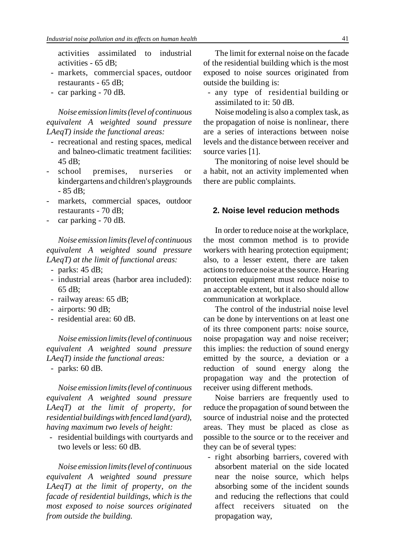activities assimilated to industrial activities - 65 dB;

- markets, commercial spaces, outdoor restaurants - 65 dB;
- car parking 70 dB.

*Noise emission limits(level of continuous equivalent A weighted sound pressure LAeqT) inside the functional areas:*

- recreational and resting spaces, medical and balneo-climatic treatment facilities: 45 dB;
- school premises, nurseries or kindergartens and children's playgrounds - 85 dB;
- markets, commercial spaces, outdoor restaurants - 70 dB;
- car parking 70 dB.

*Noise emission limits(level of continuous equivalent A weighted sound pressure LAeqT) at the limit of functional areas:*

- parks: 45 dB;
- industrial areas (harbor area included): 65 dB;
- railway areas: 65 dB;
- airports: 90 dB;
- residential area: 60 dB.

*Noise emission limits(level of continuous equivalent A weighted sound pressure LAeqT) inside the functional areas:*

- parks: 60 dB.

*Noise emission limits(level of continuous equivalent A weighted sound pressure LAeqT) at the limit of property, for residential buildingswith fenced land (yard), having maximum two levels of height:*

 - residential buildings with courtyards and two levels or less: 60 dB.

*Noise emission limits(level of continuous equivalent A weighted sound pressure LAeqT) at the limit of property, on the facade of residential buildings, which is the most exposed to noise sources originated from outside the building.*

The limit for external noise on the facade of the residential building which is the most exposed to noise sources originated from outside the building is:

 - any type of residential building or assimilated to it: 50 dB.

Noisemodeling is also a complex task, as the propagation of noise is nonlinear, there are a series of interactions between noise levels and the distance between receiver and source varies [1].

The monitoring of noise level should be a habit, not an activity implemented when there are public complaints.

#### **2. Noise level reducion methods**

In order to reduce noise at the workplace, the most common method is to provide workers with hearing protection equipment; also, to a lesser extent, there are taken actionsto reduce noise at the source. Hearing protection equipment must reduce noise to an acceptable extent, but it also should allow communication at workplace.

The control of the industrial noise level can be done by interventions on at least one of its three component parts: noise source, noise propagation way and noise receiver; this implies: the reduction of sound energy emitted by the source, a deviation or a reduction of sound energy along the propagation way and the protection of receiver using different methods.

Noise barriers are frequently used to reduce the propagation of sound between the source of industrial noise and the protected areas. They must be placed as close as possible to the source or to the receiver and they can be of several types:

 - right absorbing barriers, covered with absorbent material on the side located near the noise source, which helps absorbing some of the incident sounds and reducing the reflections that could affect receivers situated on the propagation way,